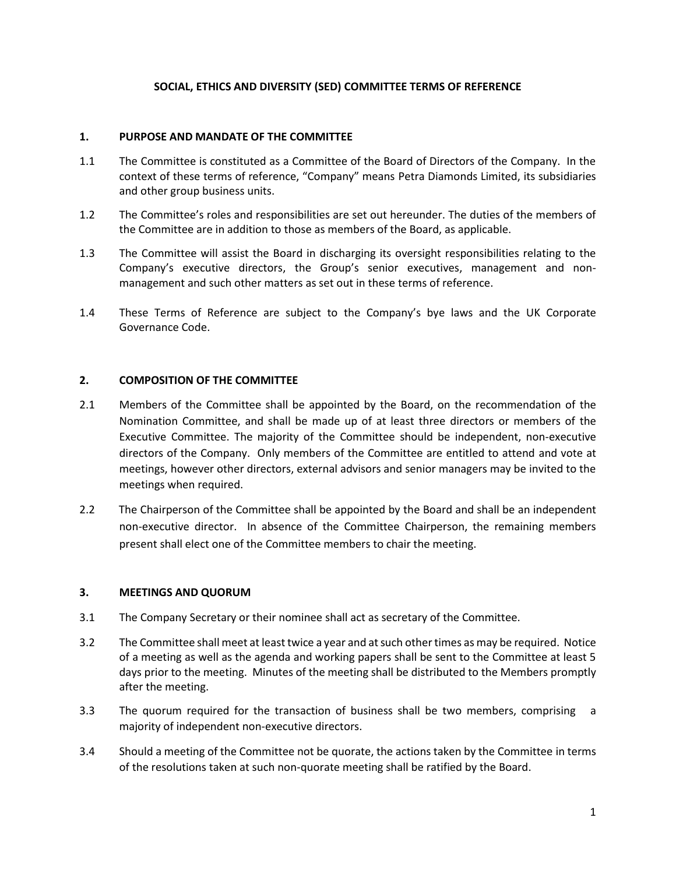## **SOCIAL, ETHICS AND DIVERSITY (SED) COMMITTEE TERMS OF REFERENCE**

#### **1. PURPOSE AND MANDATE OF THE COMMITTEE**

- 1.1 The Committee is constituted as a Committee of the Board of Directors of the Company. In the context of these terms of reference, "Company" means Petra Diamonds Limited, its subsidiaries and other group business units.
- 1.2 The Committee's roles and responsibilities are set out hereunder. The duties of the members of the Committee are in addition to those as members of the Board, as applicable.
- 1.3 The Committee will assist the Board in discharging its oversight responsibilities relating to the Company's executive directors, the Group's senior executives, management and nonmanagement and such other matters as set out in these terms of reference.
- 1.4 These Terms of Reference are subject to the Company's bye laws and the UK Corporate Governance Code.

## **2. COMPOSITION OF THE COMMITTEE**

- 2.1 Members of the Committee shall be appointed by the Board, on the recommendation of the Nomination Committee, and shall be made up of at least three directors or members of the Executive Committee. The majority of the Committee should be independent, non-executive directors of the Company. Only members of the Committee are entitled to attend and vote at meetings, however other directors, external advisors and senior managers may be invited to the meetings when required.
- 2.2 The Chairperson of the Committee shall be appointed by the Board and shall be an independent non-executive director. In absence of the Committee Chairperson, the remaining members present shall elect one of the Committee members to chair the meeting.

#### **3. MEETINGS AND QUORUM**

- 3.1 The Company Secretary or their nominee shall act as secretary of the Committee.
- 3.2 The Committee shall meet at least twice a year and at such other times as may be required. Notice of a meeting as well as the agenda and working papers shall be sent to the Committee at least 5 days prior to the meeting. Minutes of the meeting shall be distributed to the Members promptly after the meeting.
- 3.3 The quorum required for the transaction of business shall be two members, comprising a majority of independent non-executive directors.
- 3.4 Should a meeting of the Committee not be quorate, the actions taken by the Committee in terms of the resolutions taken at such non-quorate meeting shall be ratified by the Board.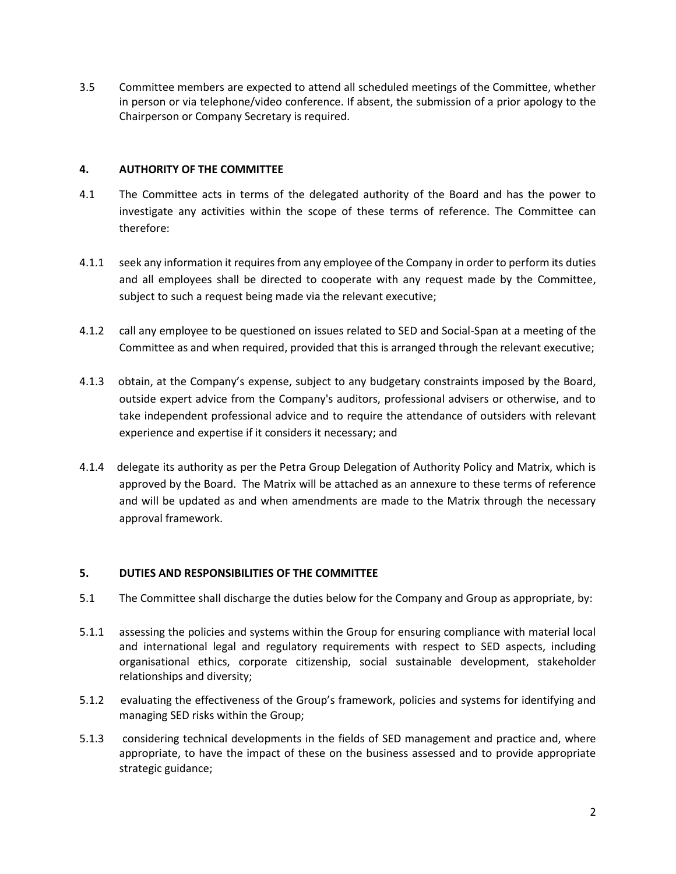3.5 Committee members are expected to attend all scheduled meetings of the Committee, whether in person or via telephone/video conference. If absent, the submission of a prior apology to the Chairperson or Company Secretary is required.

## **4. AUTHORITY OF THE COMMITTEE**

- 4.1 The Committee acts in terms of the delegated authority of the Board and has the power to investigate any activities within the scope of these terms of reference. The Committee can therefore:
- 4.1.1 seek any information it requires from any employee of the Company in order to perform its duties and all employees shall be directed to cooperate with any request made by the Committee, subject to such a request being made via the relevant executive;
- 4.1.2 call any employee to be questioned on issues related to SED and Social-Span at a meeting of the Committee as and when required, provided that this is arranged through the relevant executive;
- 4.1.3 obtain, at the Company's expense, subject to any budgetary constraints imposed by the Board, outside expert advice from the Company's auditors, professional advisers or otherwise, and to take independent professional advice and to require the attendance of outsiders with relevant experience and expertise if it considers it necessary; and
- 4.1.4 delegate its authority as per the Petra Group Delegation of Authority Policy and Matrix, which is approved by the Board. The Matrix will be attached as an annexure to these terms of reference and will be updated as and when amendments are made to the Matrix through the necessary approval framework.

# **5. DUTIES AND RESPONSIBILITIES OF THE COMMITTEE**

- 5.1 The Committee shall discharge the duties below for the Company and Group as appropriate, by:
- 5.1.1 assessing the policies and systems within the Group for ensuring compliance with material local and international legal and regulatory requirements with respect to SED aspects, including organisational ethics, corporate citizenship, social sustainable development, stakeholder relationships and diversity;
- 5.1.2 evaluating the effectiveness of the Group's framework, policies and systems for identifying and managing SED risks within the Group;
- 5.1.3 considering technical developments in the fields of SED management and practice and, where appropriate, to have the impact of these on the business assessed and to provide appropriate strategic guidance;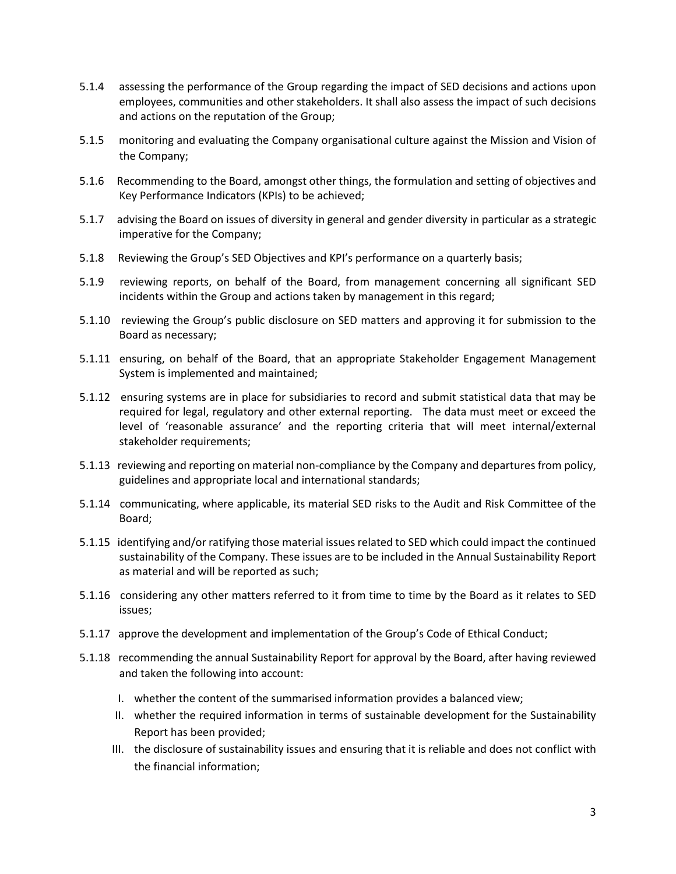- 5.1.4 assessing the performance of the Group regarding the impact of SED decisions and actions upon employees, communities and other stakeholders. It shall also assess the impact of such decisions and actions on the reputation of the Group;
- 5.1.5 monitoring and evaluating the Company organisational culture against the Mission and Vision of the Company;
- 5.1.6 Recommending to the Board, amongst other things, the formulation and setting of objectives and Key Performance Indicators (KPIs) to be achieved;
- 5.1.7 advising the Board on issues of diversity in general and gender diversity in particular as a strategic imperative for the Company;
- 5.1.8 Reviewing the Group's SED Objectives and KPI's performance on a quarterly basis;
- 5.1.9 reviewing reports, on behalf of the Board, from management concerning all significant SED incidents within the Group and actions taken by management in this regard;
- 5.1.10 reviewing the Group's public disclosure on SED matters and approving it for submission to the Board as necessary;
- 5.1.11 ensuring, on behalf of the Board, that an appropriate Stakeholder Engagement Management System is implemented and maintained;
- 5.1.12 ensuring systems are in place for subsidiaries to record and submit statistical data that may be required for legal, regulatory and other external reporting. The data must meet or exceed the level of 'reasonable assurance' and the reporting criteria that will meet internal/external stakeholder requirements;
- 5.1.13 reviewing and reporting on material non-compliance by the Company and departures from policy, guidelines and appropriate local and international standards;
- 5.1.14 communicating, where applicable, its material SED risks to the Audit and Risk Committee of the Board;
- 5.1.15 identifying and/or ratifying those material issues related to SED which could impact the continued sustainability of the Company. These issues are to be included in the Annual Sustainability Report as material and will be reported as such;
- 5.1.16 considering any other matters referred to it from time to time by the Board as it relates to SED issues;
- 5.1.17 approve the development and implementation of the Group's Code of Ethical Conduct;
- 5.1.18 recommending the annual Sustainability Report for approval by the Board, after having reviewed and taken the following into account:
	- I. whether the content of the summarised information provides a balanced view;
	- II. whether the required information in terms of sustainable development for the Sustainability Report has been provided;
	- III. the disclosure of sustainability issues and ensuring that it is reliable and does not conflict with the financial information;